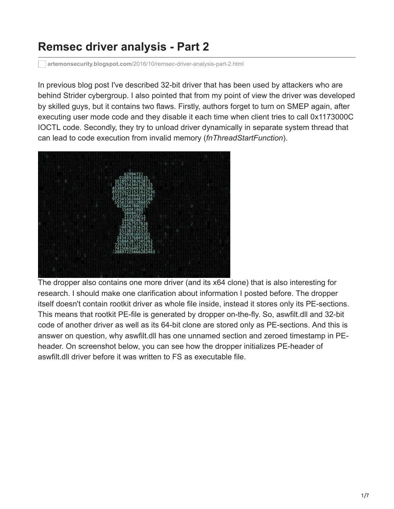## **Remsec driver analysis - Part 2**

**artemonsecurity.blogspot.com**[/2016/10/remsec-driver-analysis-part-2.html](https://artemonsecurity.blogspot.com/2016/10/remsec-driver-analysis-part-2.html)

In previous blog post I've described 32-bit driver that has been used by attackers who are behind Strider cybergroup. I also pointed that from my point of view the driver was developed by skilled guys, but it contains two flaws. Firstly, authors forget to turn on SMEP again, after executing user mode code and they disable it each time when client tries to call 0x1173000C IOCTL code. Secondly, they try to unload driver dynamically in separate system thread that can lead to code execution from invalid memory (*fnThreadStartFunction*).



The dropper also contains one more driver (and its x64 clone) that is also interesting for research. I should make one clarification about information I posted before. The dropper itself doesn't contain rootkit driver as whole file inside, instead it stores only its PE-sections. This means that rootkit PE-file is generated by dropper on-the-fly. So, aswfilt.dll and 32-bit code of another driver as well as its 64-bit clone are stored only as PE-sections. And this is answer on question, why aswfilt.dll has one unnamed section and zeroed timestamp in PEheader. On screenshot below, you can see how the dropper initializes PE-header of aswfilt.dll driver before it was written to FS as executable file.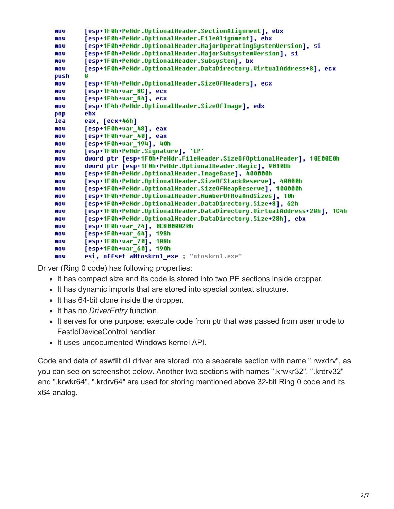```
mou
        [esp+1F0h+PeHdr.OptionalHeader.SectionAlignment], ebx
        [esp+1F0h+PeHdr.OptionalHeader.FileAlignment], ebx
mou
        [esp+1F0h+PeHdr.OptionalHeader.MajorOperatingSystemVersion], si
mou
        [esp+1F0h+PeHdr.OptionalHeader.MajorSubsystemVersion], si
mov
        [esp+1F0h+PeHdr.OptionalHeader.Subsystem], bx
mov
        [esp+1F0h+PeHdr.OptionalHeader.DataDirectory.UirtualAddress+8], ecx
mov
push
        R
        [esp+1F4h+PeHdr.OptionalHeader.SizeOfHeaders], ecx
mov
mou
        [esp+1F4h+var_8C], ecx
mou
        [esp+1F4h+var_84], ecx
        [esp+1F4h+PeHdr.OptionalHeader.SizeOfImage], edx
mov
        ebx
pop
        eax, [ecx+46h]
lea
        [esp+1F0h+var_48], eax
mov
        [esp+1F0h+var_40], eax
mov
        [esp+1F0h+var_194], 40h
mov
        [esp+1F0h+PeHdr.Signature], 'EP'
mov
        dword ptr [esp+1F0h+PeHdr.FileHeader.SizeOfOptionalHeader], 10E00E0h
mov
mou
        dword ptr [esp+1F0h+PeHdr.OptionalHeader.Magic], 9010Bh
        [esp+1F0h+PeHdr.OptionalHeader.ImageBase], 400000h
mou
        [esp+1F0h+PeHdr.OptionalHeader.SizeOfStackReserve], 40000h
mov
        [esp+1F0h+PeHdr.OptionalHeader.SizeOfHeapReserve], 100000h
mou
        [esp+1F0h+PeHdr.OptionalHeader.NumberOfRvaAndSizes], 10h
mov
        [esp+1F0h+PeHdr.OptionalHeader.DataDirectory.Size+8], 62h
mov
mov
        [esp+1F0h+PeHdr.OptionalHeader.DataDirectory.UirtualAddress+28h], 1C4h
        [esp+1F0h+PeHdr.OptionalHeader.DataDirectory.Size+28h], ebx
mov
        [esp+1F0h+var_74], 0E8000020h
mou
        [esp+1F0h+var_64], 198h
mov
        [esp+1F0h+var_70], 188h
mou
        [esp+1F0h+var_60], 190h
mou
        esi, offset aNtoskrnl_exe ; "ntoskrnl.exe"
mou
```
Driver (Ring 0 code) has following properties:

- It has compact size and its code is stored into two PE sections inside dropper.
- It has dynamic imports that are stored into special context structure.
- It has 64-bit clone inside the dropper.
- It has no *DriverEntry* function.
- It serves for one purpose: execute code from ptr that was passed from user mode to FastIoDeviceControl handler.
- It uses undocumented Windows kernel API.

Code and data of aswfilt.dll driver are stored into a separate section with name ".rwxdrv", as you can see on screenshot below. Another two sections with names ".krwkr32", ".krdrv32" and ".krwkr64", ".krdrv64" are used for storing mentioned above 32-bit Ring 0 code and its x64 analog.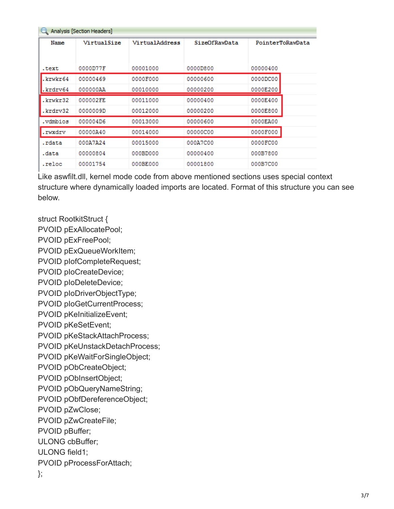| Analysis [Section Headers] |             |                |               |                  |  |  |  |
|----------------------------|-------------|----------------|---------------|------------------|--|--|--|
| Name                       | VirtualSize | VirtualAddress | SizeOfRawData | PointerToRawData |  |  |  |
|                            |             |                |               |                  |  |  |  |
| .text                      | 0000D77F    | 00001000       | 0000D800      | 00000400         |  |  |  |
| krwkr64.                   | 00000469    | 0000F000       | 00000600      | 0000DC00         |  |  |  |
| .krdrv64                   | 000000AA    | 00010000       | 00000200      | 0000E200         |  |  |  |
| .krwkr32                   | 000002FE    | 00011000       | 00000400      | 0000E400         |  |  |  |
| .krdrv32                   | 0000009D    | 00012000       | 00000200      | 0000E800         |  |  |  |
| .vdmbios                   | 000004D6    | 00013000       | 00000600      | 0000EA00         |  |  |  |
| .rwxdrv                    | 00000A40    | 00014000       | 00000C00      | 0000F000         |  |  |  |
| .rdata                     | 000A7A24    | 00015000       | 000A7C00      | 0000FC00         |  |  |  |
| .data                      | 00000804    | 000BD000       | 00000400      | 000B7800         |  |  |  |
| .reloc                     | 00001754    | 000BE000       | 00001800      | 000B7C00         |  |  |  |

Like aswfilt.dll, kernel mode code from above mentioned sections uses special context structure where dynamically loaded imports are located. Format of this structure you can see below.

struct RootkitStruct {

PVOID pExAllocatePool;

PVOID pExFreePool;

PVOID pExQueueWorkItem;

PVOID pIofCompleteRequest;

PVOID pIoCreateDevice;

PVOID pIoDeleteDevice;

PVOID pIoDriverObjectType;

PVOID pIoGetCurrentProcess;

PVOID pKeInitializeEvent;

PVOID pKeSetEvent;

PVOID pKeStackAttachProcess;

PVOID pKeUnstackDetachProcess;

PVOID pKeWaitForSingleObject;

PVOID pObCreateObject;

PVOID pObInsertObject;

PVOID pObQueryNameString;

PVOID pObfDereferenceObject;

PVOID pZwClose;

PVOID pZwCreateFile;

PVOID pBuffer;

ULONG cbBuffer;

ULONG field1;

PVOID pProcessForAttach;

};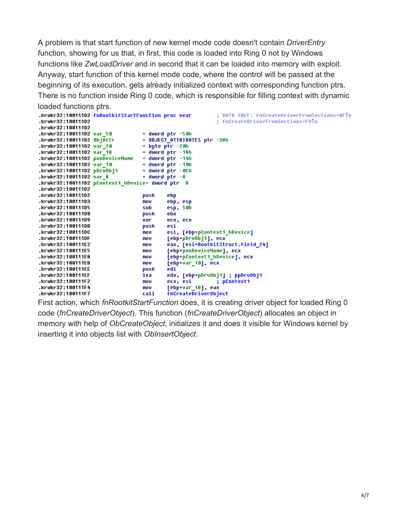A problem is that start function of new kernel mode code doesn't contain *DriverEntry* function, showing for us that, in first, this code is loaded into Ring 0 not by Windows functions like *ZwLoadDriver* and in second that it can be loaded into memory with exploit. Anyway, start function of this kernel mode code, where the control will be passed at the beginning of its execution, gets already initialized context with corresponding function ptrs. There is no function inside Ring 0 code, which is responsible for filling context with dynamic loaded functions ptrs.

```
.krwkr32:100111D2 fnRootkitStartFunction proc near
                                                           ; DATA XREF: fnCreateDriverFromSections+8FTo
.krwkr32:100111D2
                                                           ; fnCreateDriverFromSections+F9To
.krwkr32:100111D2
.krwkr32:100111D2 var 50
                                  = dword ptr -50h.krwkr32:100111D2 ObjAttr
                                  = OBJECT ATTRIBUTES ptr -38h.krwkr32:100111D2 var_20
                                  = byte ptr -20h.krwkr32:100111D2 var_18
                                  = dword ptr -18h.krwkr32:100111D2 punDeviceName = dword ptr -14h
.krwkr32:100111D2 var 10
                                  = dword ptr -10h.krwkr32:100111D2 pDrvObj1
                                  = dword ptr -@Ch.krwkr32:100111D2 var 8
                                  = dword ptr -8.krwkr32:100111D2 pContext1_hDevice= dword ptr 8
.krwkr32:100111D2
.krwkr32:100111D2
                                  push
                                           ebp
.krwkr32:100111D3
                                  mov
                                          ebp, esp
                                          e<sub>sp</sub>, 50h
.krwkr32:100111D5
                                  suh
.krwkr32:100111D8
                                  push
                                          ebx
.krwkr32:100111D9
                                  xor
                                          ecx, ecx
.krwkr32:100111DB
                                  push
                                          esi
.krwkr32:100111DC
                                  mou
                                           esi, [ebp+pContext1_hDevice]
.krwkr32:100111DF
                                           [ebp+pDrvObj1], ecx
                                  mov
                                           eax, [esi+RootkitStruct.field_24]
.krwkr32:100111E2
                                  mou
.krwkr32:100111E5
                                  nov
                                           [ebp+punDeviceName], ecx
                                           [ebp+pContext1_hDevice], ecx
.krwkr32:100111E8
                                  mou
.krwkr32:100111EB
                                           [ebp+var_10], ecx
                                  nov
.krwkr32:100111EE
                                           edi
                                  push
.krwkr32:100111EF
                                  lea
                                           edx, [ebp+pDrvObj1] ; ppDrvObj1
                                                          ; pContext1
.krwkr32:100111F2
                                  mou
                                           ecx, esi
                                           [ebp+var_18], eax
.krwkr32:100111F4
                                  mou
.krwkr32:100111F7
                                  call
                                           fnCreateDriverObject
```
First action, which *fnRootkitStartFunction* does, it is creating driver object for loaded Ring 0 code (*fnCreateDriverObject*). This function (*fnCreateDriverObject*) allocates an object in memory with help of *ObCreateObject*, initializes it and does it visible for Windows kernel by inserting it into objects list with *ObInsertObject*.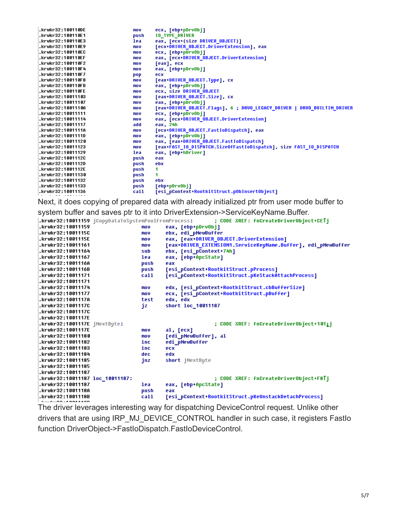| .krwkr32:100110DE   | mov  | ecx, [ebp+pDrvObi]                                                      |
|---------------------|------|-------------------------------------------------------------------------|
| .krwkr32:100110E1   | push | <b>IO TYPE DRIVER</b>                                                   |
| .krwkr32:100110E3   | lea  | eax, [ecx+(size DRIVER_OBJECT)]                                         |
| .krwkr32:100110E9   | mov  | [ecx+DRIVER OBJECT.DriverExtension], eax                                |
| .krwkr32:100110EC   | mov  | ecx, [ebp+pDrvObj]                                                      |
| .krwkr32:100110EF   | mov  | eax, [ecx+DRIVER OBJECT.DriverExtension]                                |
| .krwkr32:100110F2   | mov  | [eax], ecx                                                              |
| .krwkr32:100110F4   | mov  | eax, [ebp+pDrvObj]                                                      |
| .krwkr32:100110F7   | pop  | ecx                                                                     |
| .krwkr32:100110F8   | mov  | [eax+DRIVER OBJECT.Type], cx                                            |
| .krwkr32:100110FB   | mov  | eax, [ebp+pDrvObj]                                                      |
| .krwkr32:100110FE   | mov  | ecx, size DRIVER OBJECT                                                 |
| .krwkr32:10011103   | mov  | [eax+DRIVER OBJECT.Size], cx                                            |
| .krwkr32:10011107   | mov  | eax, [ebp+pDrvObj]                                                      |
| .krwkr32:1001110A   | mov  | [eax+DRIVER_OBJECT.Flags], 6 ; DRVO_LEGACY_DRIVER   DRVO_BUILTIN_DRIVER |
| .krwkr32:10011111   | mov  | ecx, [ebp+pDrvObi]                                                      |
| .krwkr32:10011114   | mov  | eax, [ecx+DRIVER_OBJECT.DriverExtension]                                |
| .krwkr32:10011117   | add  | eax, 24h                                                                |
| .krwkr32:1001111A   | mov  | [ecx+DRIVER OBJECT.FastIoDispatch], eax                                 |
| .krwkr32:1001111D   | mov  | eax, [ebp+pDrvObi]                                                      |
| .krwkr32:10011120   | mov  | eax, [eax+DRIVER OBJECT.FastIoDispatch]                                 |
| .krwkr32:10011123   | mov  | [eax+FAST_IO_DISPATCH.SizeOfFastIoDispatch], size FAST_IO_DISPATCH      |
| .krwkr32:10011129   | lea  | eax, [ebp+hDriver]                                                      |
| .krwkr32:1001112C   | push | eax                                                                     |
| .krwkr32:1001112D   | push | ebx                                                                     |
| .krwkr32:1001112E   | push | 1                                                                       |
| .krwkr32:10011130   | push | 1                                                                       |
| krwkr32:10011132.   | push | ebx                                                                     |
| .krwkr32:10011133   | push | [ebp+pDrvObi]                                                           |
| krwkr32:10011136.kr | call | [esi pContext+RootkitStruct.pObInsertObject]                            |
|                     |      |                                                                         |

Next, it does copying of prepared data with already initialized ptr from user mode buffer to

system buffer and saves ptr to it into DriverExtension->ServiceKeyName.Buffer.

|                                 |      | ; CODE XREF: fnCreateDriverObject+CETj                        |
|---------------------------------|------|---------------------------------------------------------------|
| .krwkr32:10011159               | mov  | eax, [ebp+pDrvObi]                                            |
| .krwkr32:1001115C               | mov  | ebx, edi_pNewBuffer                                           |
| .krwkr32:1001115E               | mov  | eax, [eax+DRIVER_OBJECT.DriverExtension]                      |
| .krwkr32:10011161               | mov  | [eax+DRIUER EXTENSION1.ServiceKeyName.Buffer], edi pNewBuffer |
| .krwkr32:10011164               | sub  | ebx, [esi pContext+74h]                                       |
| .krwkr32:10011167               | lea  | eax, [ebp+ApcState]                                           |
| .krwkr32:1001116A               | push | eax                                                           |
| .krwkr32:1001116B               | push | [esi_pContext+RootkitStruct.pProcess]                         |
| .krwkr32:10011171               | call | [esi_pContext+RootkitStruct.pKeStackAttachProcess]            |
| .krwkr32:10011171               |      |                                                               |
| .krwkr32:10011174               | mov  | edx, [esi pContext+RootkitStruct.cbBufferSize]                |
| .krwkr32:10011177               | mov  | ecx, [esi pContext+RootkitStruct.pBuffer]                     |
| .krwkr32:1001117A               | test | edx, edx                                                      |
| .krwkr32:1001117C               | jz   | short loc_10011187                                            |
| .krwkr32:1001117C               |      |                                                               |
| .krwkr32:1001117E               |      |                                                               |
| .krwkr32:1001117E iNextBute:    |      | ; CODE XREF: fnCreateDriverObject+101 <u>1</u> j              |
| .krwkr32:1001117E               | mov  | al, [ecx]                                                     |
| .krwkr32:10011180               | mov  | [edi pNewBuffer], al                                          |
| .krwkr32:10011182               | inc  | edi pNewBuffer                                                |
| .krwkr32:10011183               | inc  | ecx                                                           |
| .krwkr32:10011184               | dec  | edx                                                           |
| .krwkr32:10011185               | jnz  | short jNextByte                                               |
| krwkr32:10011185.               |      |                                                               |
| .krwkr32:10011187               |      |                                                               |
| .krwkr32:10011187 loc_10011187: |      |                                                               |
| .krwkr32:10011187               | lea  | eax, [ebp+ApcState]                                           |
| .krwkr32:1001118A               | push | eax                                                           |
| .krwkr32:1001118B               | call | [esi pContext+RootkitStruct.pKeUnstackDetachProcess]          |
|                                 |      |                                                               |

The driver leverages interesting way for dispatching DeviceControl request. Unlike other drivers that are using IRP\_MJ\_DEVICE\_CONTROL handler in such case, it registers FastIo function DriverObject->FastIoDispatch.FastIoDeviceControl.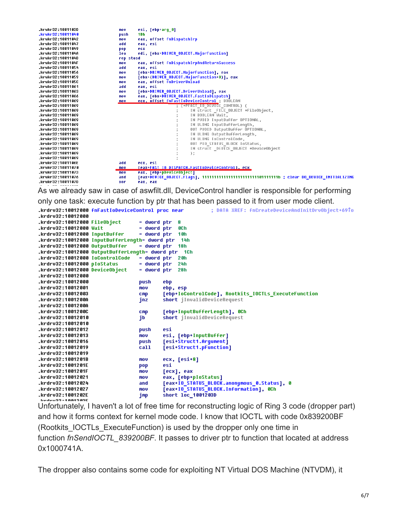.krwkr32:1001103D nov esi, [ebp+arg\_0] .krwkr32:10011040 push 1Bh .krwkr32:10011042 nov. eax, offset fnDispatchIrp .krwkr32:10011047 add eax, esi .krwkr32:10011049 ecx pop edi, [ebx+DRIVER\_OBJECT.MajorFunction] .krwkr32:1001104A lea .krwkr32:1001104D rep stosd .krwkr32:1001104F eax, offset fnDispatchIrpAndReturnSuccess mov .krwkr32:10011054 add eax, esi .krwkr32:10011056 nov [ebx+DRIVER\_OBJECT.MajorFunction], eax [ebx+(DRIVER\_OBJECT.MajorFunction+8)], eax .krwkr32:10011059 mnu eax, offset fnDriverUnload .krwkr32:1001105C mou .krwkr32:10011061 eax, esi add .krwkr32:10011063 [ebx+DRIVER\_OBJECT.DriverUnload], eax mov .krwkr32:10011066 eax, [ebx+DRIVER\_OBJECT.FastIoDispatch] mou offset fnFastIoDeviceControl,BOOLEAN<br>; (\*PFAST\_IO\_DEVICE\_CONTROL) {<br>; IN struct \_FILE\_OBJECT \*FileObject, .krwkr32:10011069 nov ecx. .krwkr32:10011069 .krwkr32:10011069 .krwkr32:10011069 IN BOOLEAN Wait, .krwkr32:10011069 IN PUOID InputBuffer OPTIONAL, .krwkr32:10011069 IN ULONG InputBufferLength, .krwkr32:10011069 OUT PUOID OutputBuffer OPTIONAL, IN ULONG OutputBufferLength, .krwkr32:10011069 .krwkr32:10011069 IN ULONG IoControlCode, .krwkr32:10011069 OUT PIO\_STATUS\_BLOCK IoStatus, .krwkr32:10011069 IN struct \_DEUICE\_OBJECT \*DeviceObject .krwkr32:10011069  $)$ ; .krwkr32:10011069 .krwkr32:1001106E add ecx, esi .krwkr32:10011070  $m$ ov [eax+FAST IO DISPATCH.FastIoDeviceControl], ecx eax, [ebp+pDeviceObject] .krwkr32:10011073  $\overline{\text{mou}}$ [eax+DEUICE\_OBJECT.Flags], 111111111111111111111111110111111b ; clear DO\_DEUICE\_INITIALIZING .krwkr32:10011076 and .krwkr32:1001107D xor eax, eax

As we already saw in case of aswfilt.dll, DeviceControl handler is responsible for performing only one task: execute function by ptr that has been passed to it from user mode client.

; DATA XREF: fnCreateDeviceAndInitDrvObject+69To

.krdrv32:10012000 fnFastIoDeviceControl proc near

| krdrv32:10012000.                               |                 |                                                      |
|-------------------------------------------------|-----------------|------------------------------------------------------|
| .krdrv32:10012000 FileObject                    | = dword ptr     | 8                                                    |
| .krdrv32:10012000 Wait                          | = dword ptr     | 8C h                                                 |
| .krdrv32:10012000 InputBuffer                   | = dword ptr     | 10h                                                  |
| .krdrv32:10012000 InputBufferLength= dword ptr  |                 | 14h                                                  |
| .krdrv32:10012000 OutputBuffer                  |                 | = dword ptr 18h                                      |
| .krdrv32:10012000 OutputBufferLength= dword ptr |                 | - 1 C h                                              |
| .krdrv32:10012000 IoControlCode                 | = dword ptr     | 2 Oh                                                 |
| .krdrv32:10012000 pIoStatus                     | = dword ptr     | 24h                                                  |
| .krdrv32:10012000 DeviceObject                  | = dword ptr     | 28h                                                  |
| .krdrv32:10012000                               |                 |                                                      |
| .krdrv32:10012000                               | push            | ebp                                                  |
| .krdrv32:10012001                               | mov             | ebp, esp                                             |
| .krdrv32:10012003                               | $_{\text{cmp}}$ | [ebp+IoControlCode], Rootkits IOCTLs ExecuteFunction |
| .krdrv32:1001200A                               | jnz             | short jInvalidDeviceRequest                          |
| .krdrv32:1001200A                               |                 |                                                      |
| .krdrv32:1001200C                               | $_{\text{cmp}}$ | [ebp+InputBufferLength], 0Ch                         |
| .krdrv32:10012010                               | jb              | short jInvalidDeviceRequest                          |
| .krdrv32:10012010                               |                 |                                                      |
| krdrv32:10012012.                               | push            | esi                                                  |
| .krdrv32:10012013                               | mov             | esi, [ebp+InputBuffer]                               |
| .krdrv32:10012016                               | push            | [esi+Struct1.Arqument]                               |
| krdrv32:10012019.                               | call            | [esi+Struct1.pFunction]                              |
| .krdrv32:10012019                               |                 |                                                      |
| .krdrv32:1001201B                               | mov             | $ex, [esi+8]$                                        |
| .krdrv32:1001201E                               | pop             | esi                                                  |
| .krdrv32:1001201F                               | mov             | [ecx], eax                                           |
| .krdrv32:10012021                               | mov             | eax, [ebp+pIoStatus]                                 |
| .krdrv32:10012024                               | and             | [eax+IO STATUS BLOCK.anonymous 0.Status], 0          |
| .krdrv32:10012027                               | mov             | [eax+IO STATUS BLOCK.Information], OCh               |
| .krdrv32:1001202E                               | jmp             | short loc 1001203D                                   |
|                                                 |                 |                                                      |

Unfortunately, I haven't a lot of free time for reconstructing logic of Ring 3 code (dropper part) and how it forms context for kernel mode code. I know that IOCTL with code 0x839200BF (Rootkits\_IOCTLs\_ExecuteFunction) is used by the dropper only one time in function *fnSendIOCTL\_839200BF*. It passes to driver ptr to function that located at address 0x1000741A.

The dropper also contains some code for exploiting NT Virtual DOS Machine (NTVDM), it